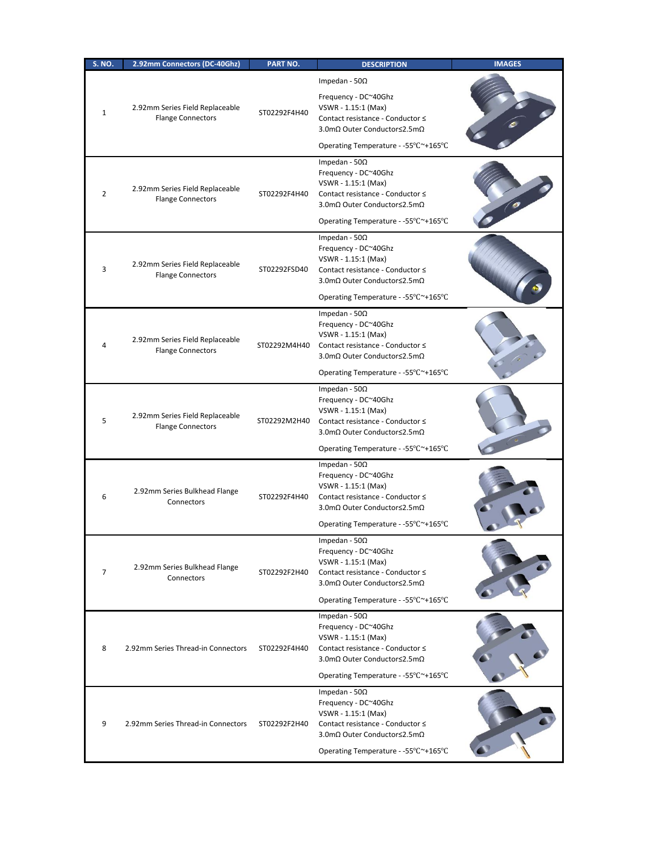| <b>S. NO.</b>  | 2.92mm Connectors (DC-40Ghz)                                | <b>PART NO.</b> | <b>DESCRIPTION</b>                                                                                                                                                              | <b>IMAGES</b> |
|----------------|-------------------------------------------------------------|-----------------|---------------------------------------------------------------------------------------------------------------------------------------------------------------------------------|---------------|
| $\mathbf{1}$   | 2.92mm Series Field Replaceable<br><b>Flange Connectors</b> | ST02292F4H40    | Impedan - $50\Omega$<br>Frequency - DC~40Ghz<br>VSWR - 1.15:1 (Max)<br>Contact resistance - Conductor ≤<br>3.0mΩ Outer Conductor≤2.5mΩ<br>Operating Temperature - -55°C~+165°C  |               |
| 2              | 2.92mm Series Field Replaceable<br><b>Flange Connectors</b> | ST02292F4H40    | Impedan - $50\Omega$<br>Frequency - DC~40Ghz<br>VSWR - 1.15:1 (Max)<br>Contact resistance - Conductor ≤<br>3.0mΩ Outer Conductor≤2.5mΩ<br>Operating Temperature - -55°C~+165°C  |               |
| 3              | 2.92mm Series Field Replaceable<br><b>Flange Connectors</b> | ST02292FSD40    | Impedan - 50 $\Omega$<br>Frequency - DC~40Ghz<br>VSWR - 1.15:1 (Max)<br>Contact resistance - Conductor ≤<br>3.0mΩ Outer Conductor≤2.5mΩ<br>Operating Temperature - -55°C~+165°C |               |
| 4              | 2.92mm Series Field Replaceable<br><b>Flange Connectors</b> | ST02292M4H40    | Impedan - $50\Omega$<br>Frequency - DC~40Ghz<br>VSWR - 1.15:1 (Max)<br>Contact resistance - Conductor ≤<br>3.0mΩ Outer Conductor≤2.5mΩ<br>Operating Temperature - -55°C~+165°C  |               |
| 5              | 2.92mm Series Field Replaceable<br><b>Flange Connectors</b> | ST02292M2H40    | Impedan - $50\Omega$<br>Frequency - DC~40Ghz<br>VSWR - 1.15:1 (Max)<br>Contact resistance - Conductor ≤<br>3.0mΩ Outer Conductor≤2.5mΩ<br>Operating Temperature - -55°C~+165°C  |               |
| 6              | 2.92mm Series Bulkhead Flange<br>Connectors                 | ST02292F4H40    | Impedan - $50\Omega$<br>Frequency - DC~40Ghz<br>VSWR - 1.15:1 (Max)<br>Contact resistance - Conductor ≤<br>3.0mΩ Outer Conductor≤2.5mΩ<br>Operating Temperature - -55°C~+165°C  |               |
| $\overline{7}$ | 2.92mm Series Bulkhead Flange<br>Connectors                 | ST02292F2H40    | Impedan - 50 $\Omega$<br>Frequency - DC~40Ghz<br>VSWR - 1.15:1 (Max)<br>Contact resistance - Conductor ≤<br>3.0mΩ Outer Conductor≤2.5mΩ<br>Operating Temperature - -55°C~+165°C |               |
| 8              | 2.92mm Series Thread-in Connectors                          | ST02292F4H40    | Impedan - $50\Omega$<br>Frequency - DC~40Ghz<br>VSWR - 1.15:1 (Max)<br>Contact resistance - Conductor ≤<br>3.0mΩ Outer Conductor≤2.5mΩ<br>Operating Temperature - -55°C~+165°C  |               |
| 9              | 2.92mm Series Thread-in Connectors                          | ST02292F2H40    | Impedan - $50\Omega$<br>Frequency - DC~40Ghz<br>VSWR - 1.15:1 (Max)<br>Contact resistance - Conductor ≤<br>3.0mΩ Outer Conductor≤2.5mΩ<br>Operating Temperature - -55°C~+165°C  |               |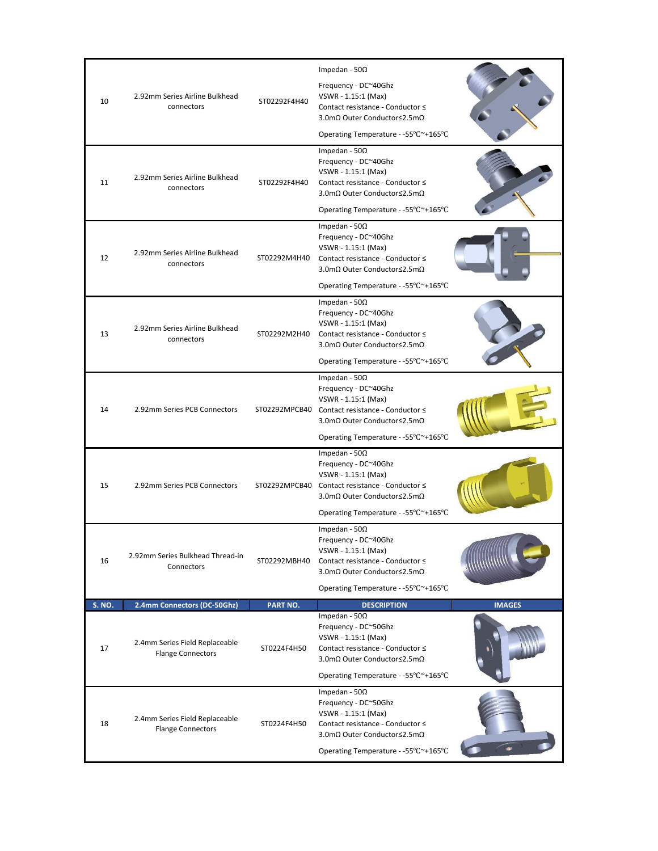|               |                                                            |              | Impedan - 50 $\Omega$                                                                                                                                                                         |               |
|---------------|------------------------------------------------------------|--------------|-----------------------------------------------------------------------------------------------------------------------------------------------------------------------------------------------|---------------|
| 10            | 2.92mm Series Airline Bulkhead<br>connectors               | ST02292F4H40 | Frequency - DC~40Ghz<br>VSWR - 1.15:1 (Max)<br>Contact resistance - Conductor ≤<br>3.0mΩ Outer Conductor≤2.5mΩ                                                                                |               |
|               |                                                            |              | Operating Temperature - -55°C~+165°C                                                                                                                                                          |               |
| 11            | 2.92mm Series Airline Bulkhead<br>connectors               | ST02292F4H40 | Impedan - 50 $\Omega$<br>Frequency - DC~40Ghz<br>VSWR - 1.15:1 (Max)<br>Contact resistance - Conductor ≤<br>3.0mΩ Outer Conductor≤2.5mΩ<br>Operating Temperature - -55°C~+165°C               |               |
| 12            | 2.92mm Series Airline Bulkhead<br>connectors               | ST02292M4H40 | Impedan - 50 $\Omega$<br>Frequency - DC~40Ghz<br>VSWR - 1.15:1 (Max)<br>Contact resistance - Conductor ≤<br>3.0mΩ Outer Conductor≤2.5mΩ<br>Operating Temperature - -55°C~+165°C               |               |
| 13            | 2.92mm Series Airline Bulkhead<br>connectors               | ST02292M2H40 | Impedan - $50\Omega$<br>Frequency - DC~40Ghz<br>VSWR - 1.15:1 (Max)<br>Contact resistance - Conductor ≤<br>3.0mΩ Outer Conductor≤2.5mΩ<br>Operating Temperature - -55°C~+165°C                |               |
| 14            | 2.92mm Series PCB Connectors                               |              | Impedan - 50 $\Omega$<br>Frequency - DC~40Ghz<br>VSWR - 1.15:1 (Max)<br>ST02292MPCB40 Contact resistance - Conductor ≤<br>3.0mΩ Outer Conductor≤2.5mΩ<br>Operating Temperature - -55°C~+165°C |               |
| 15            | 2.92mm Series PCB Connectors                               |              | Impedan - 50 $\Omega$<br>Frequency - DC~40Ghz<br>VSWR - 1.15:1 (Max)<br>ST02292MPCB40 Contact resistance - Conductor ≤<br>3.0mΩ Outer Conductor≤2.5mΩ<br>Operating Temperature - -55°C~+165°C |               |
| 16            | 2.92mm Series Bulkhead Thread-in<br>Connectors             | ST02292MBH40 | Impedan - 50 $\Omega$<br>Frequency - DC~40Ghz<br>VSWR - 1.15:1 (Max)<br>Contact resistance - Conductor ≤<br>3.0mΩ Outer Conductor≤2.5mΩ<br>Operating Temperature - -55°C~+165°C               |               |
| <b>S. NO.</b> | 2.4mm Connectors (DC-50Ghz)                                | PART NO.     | <b>DESCRIPTION</b>                                                                                                                                                                            | <b>IMAGES</b> |
| 17            | 2.4mm Series Field Replaceable<br><b>Flange Connectors</b> | ST0224F4H50  | Impedan - 50 $\Omega$<br>Frequency - DC~50Ghz<br>VSWR - 1.15:1 (Max)<br>Contact resistance - Conductor ≤<br>3.0mΩ Outer Conductor≤2.5mΩ<br>Operating Temperature - -55°C~+165°C               |               |
| 18            | 2.4mm Series Field Replaceable<br><b>Flange Connectors</b> | ST0224F4H50  | Impedan - 50 $\Omega$<br>Frequency - DC~50Ghz<br>VSWR - 1.15:1 (Max)<br>Contact resistance - Conductor ≤<br>3.0mΩ Outer Conductor≤2.5mΩ<br>Operating Temperature - -55°C~+165°C               |               |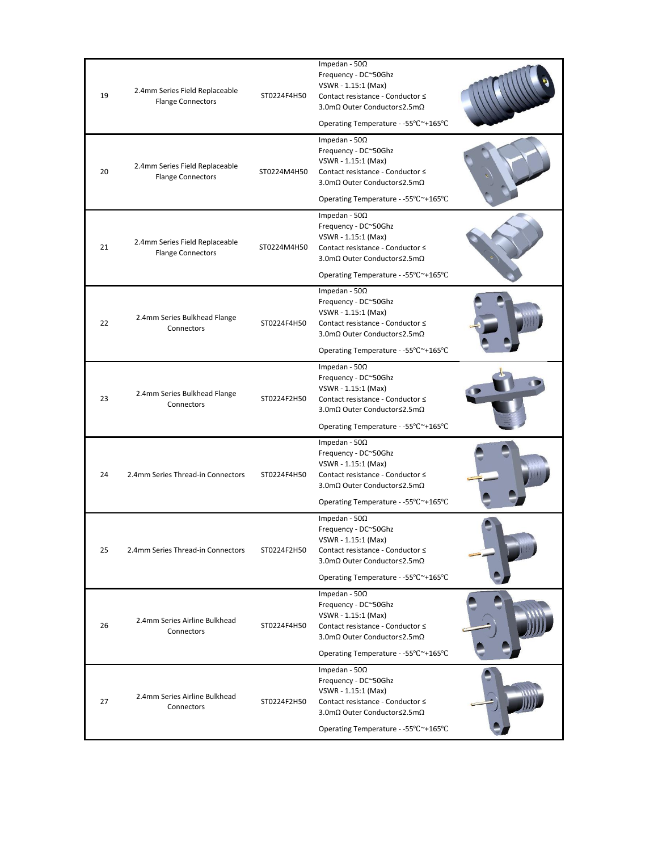| 19 | 2.4mm Series Field Replaceable<br><b>Flange Connectors</b> | ST0224F4H50 | Impedan - 50 $\Omega$<br>Frequency - DC~50Ghz<br>VSWR - 1.15:1 (Max)<br>Contact resistance - Conductor ≤<br>3.0mΩ Outer Conductor≤2.5mΩ<br>Operating Temperature - -55°C~+165°C |  |
|----|------------------------------------------------------------|-------------|---------------------------------------------------------------------------------------------------------------------------------------------------------------------------------|--|
| 20 | 2.4mm Series Field Replaceable<br><b>Flange Connectors</b> | ST0224M4H50 | Impedan - $50\Omega$<br>Frequency - DC~50Ghz<br>VSWR - 1.15:1 (Max)<br>Contact resistance - Conductor ≤<br>3.0mΩ Outer Conductor≤2.5mΩ<br>Operating Temperature - -55°C~+165°C  |  |
| 21 | 2.4mm Series Field Replaceable<br><b>Flange Connectors</b> | ST0224M4H50 | Impedan - $50\Omega$<br>Frequency - DC~50Ghz<br>VSWR - 1.15:1 (Max)<br>Contact resistance - Conductor ≤<br>3.0mΩ Outer Conductor≤2.5mΩ<br>Operating Temperature - -55°C~+165°C  |  |
| 22 | 2.4mm Series Bulkhead Flange<br>Connectors                 | ST0224F4H50 | Impedan - 50 $\Omega$<br>Frequency - DC~50Ghz<br>VSWR - 1.15:1 (Max)<br>Contact resistance - Conductor ≤<br>3.0mΩ Outer Conductor≤2.5mΩ<br>Operating Temperature - -55°C~+165°C |  |
| 23 | 2.4mm Series Bulkhead Flange<br>Connectors                 | ST0224F2H50 | Impedan - $50\Omega$<br>Frequency - DC~50Ghz<br>VSWR - 1.15:1 (Max)<br>Contact resistance - Conductor ≤<br>3.0mΩ Outer Conductor≤2.5mΩ<br>Operating Temperature - -55°C~+165°C  |  |
| 24 | 2.4mm Series Thread-in Connectors                          | ST0224F4H50 | Impedan - $50\Omega$<br>Frequency - DC~50Ghz<br>VSWR - 1.15:1 (Max)<br>Contact resistance - Conductor ≤<br>3.0mΩ Outer Conductor≤2.5mΩ<br>Operating Temperature - -55°C~+165°C  |  |
| 25 | 2.4mm Series Thread-in Connectors                          | ST0224F2H50 | Impedan - $50\Omega$<br>Frequency - DC~50Ghz<br>VSWR - 1.15:1 (Max)<br>Contact resistance - Conductor ≤<br>3.0mΩ Outer Conductor≤2.5mΩ<br>Operating Temperature - -55°C~+165°C  |  |
| 26 | 2.4mm Series Airline Bulkhead<br>Connectors                | ST0224F4H50 | Impedan - 50 $\Omega$<br>Frequency - DC~50Ghz<br>VSWR - 1.15:1 (Max)<br>Contact resistance - Conductor ≤<br>3.0mΩ Outer Conductor≤2.5mΩ<br>Operating Temperature - -55°C~+165°C |  |
| 27 | 2.4mm Series Airline Bulkhead<br>Connectors                | ST0224F2H50 | Impedan - 50 $\Omega$<br>Frequency - DC~50Ghz<br>VSWR - 1.15:1 (Max)<br>Contact resistance - Conductor ≤<br>3.0mΩ Outer Conductor≤2.5mΩ<br>Operating Temperature - -55°C~+165°C |  |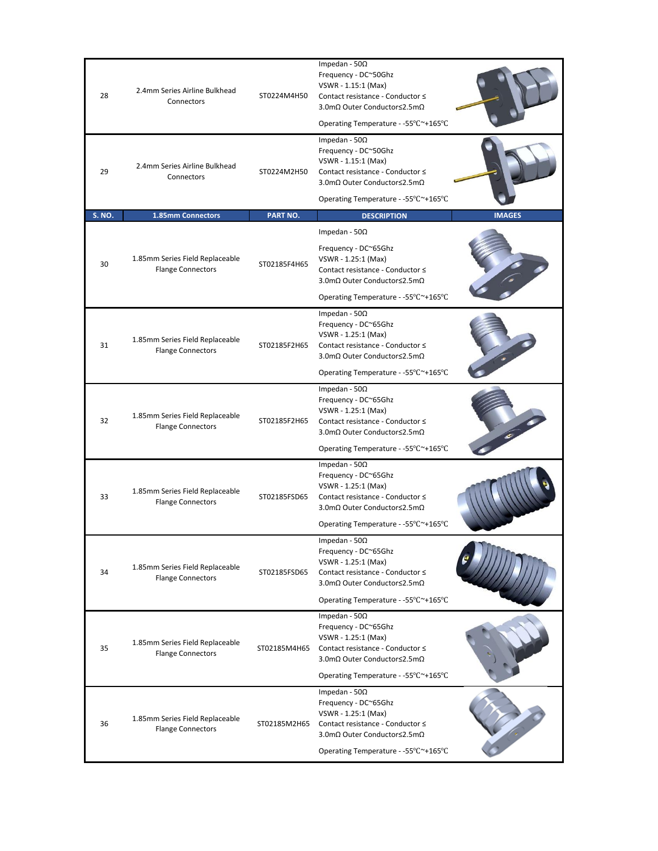| 28            | 2.4mm Series Airline Bulkhead<br>Connectors                 | ST0224M4H50  | Impedan - $50\Omega$<br>Frequency - DC~50Ghz<br>VSWR - 1.15:1 (Max)<br>Contact resistance - Conductor ≤<br>3.0mΩ Outer Conductor≤2.5mΩ<br>Operating Temperature - -55°C~+165°C               |               |
|---------------|-------------------------------------------------------------|--------------|----------------------------------------------------------------------------------------------------------------------------------------------------------------------------------------------|---------------|
| 29            | 2.4mm Series Airline Bulkhead<br>Connectors                 | ST0224M2H50  | Impedan - 50 $\Omega$<br>Frequency - DC~50Ghz<br>VSWR - 1.15:1 (Max)<br>Contact resistance - Conductor ≤<br>3.0mΩ Outer Conductor≤2.5mΩ                                                      |               |
| <b>S. NO.</b> | 1.85mm Connectors                                           | PART NO.     | Operating Temperature - -55°C~+165°C<br><b>DESCRIPTION</b>                                                                                                                                   | <b>IMAGES</b> |
|               |                                                             |              | Impedan - $50\Omega$                                                                                                                                                                         |               |
| 30            | 1.85mm Series Field Replaceable<br><b>Flange Connectors</b> | ST02185F4H65 | Frequency - DC~65Ghz<br>VSWR - 1.25:1 (Max)<br>Contact resistance - Conductor ≤<br>3.0mΩ Outer Conductor≤2.5mΩ                                                                               |               |
|               |                                                             |              | Operating Temperature - -55°C~+165°C                                                                                                                                                         |               |
| 31            | 1.85mm Series Field Replaceable<br><b>Flange Connectors</b> | ST02185F2H65 | Impedan - $50\Omega$<br>Frequency - DC~65Ghz<br>VSWR - 1.25:1 (Max)<br>Contact resistance - Conductor ≤<br>3.0mΩ Outer Conductor≤2.5mΩ                                                       |               |
|               |                                                             |              | Operating Temperature - -55°C~+165°C                                                                                                                                                         |               |
| 32            | 1.85mm Series Field Replaceable<br><b>Flange Connectors</b> | ST02185F2H65 | Impedan - $50\Omega$<br>Frequency - DC~65Ghz<br>VSWR - 1.25:1 (Max)<br>Contact resistance - Conductor ≤<br>3.0mΩ Outer Conductor≤2.5mΩ                                                       |               |
|               |                                                             |              | Operating Temperature - -55°C~+165°C                                                                                                                                                         |               |
| 33            | 1.85mm Series Field Replaceable<br><b>Flange Connectors</b> | ST02185FSD65 | Impedan - $50\Omega$<br>Frequency - DC~65Ghz<br>VSWR - 1.25:1 (Max)<br>Contact resistance - Conductor ≤<br>3.0mΩ Outer Conductor≤2.5mΩ                                                       |               |
|               |                                                             |              | Operating Temperature - -55°C~+165°C                                                                                                                                                         |               |
| 34            | 1.85mm Series Field Replaceable<br><b>Flange Connectors</b> | ST02185FSD65 | Impedan - 50 $\Omega$<br>Frequency - DC~65Ghz<br>VSWR - 1.25:1 (Max)<br>Contact resistance - Conductor ≤<br>3.0mΩ Outer Conductor≤2.5mΩ<br>Operating Temperature - -55°C~+165°C              |               |
|               |                                                             |              | Impedan - 50 $\Omega$                                                                                                                                                                        |               |
| 35            | 1.85mm Series Field Replaceable<br><b>Flange Connectors</b> | ST02185M4H65 | Frequency - DC~65Ghz<br>VSWR - 1.25:1 (Max)<br>Contact resistance - Conductor ≤<br>3.0mΩ Outer Conductor≤2.5mΩ                                                                               |               |
|               |                                                             |              | Operating Temperature - -55°C~+165°C                                                                                                                                                         |               |
| 36            | 1.85mm Series Field Replaceable<br><b>Flange Connectors</b> |              | Impedan - 50 $\Omega$<br>Frequency - DC~65Ghz<br>VSWR - 1.25:1 (Max)<br>ST02185M2H65 Contact resistance - Conductor ≤<br>3.0mΩ Outer Conductor≤2.5mΩ<br>Operating Temperature - -55°C~+165°C |               |
|               |                                                             |              |                                                                                                                                                                                              |               |